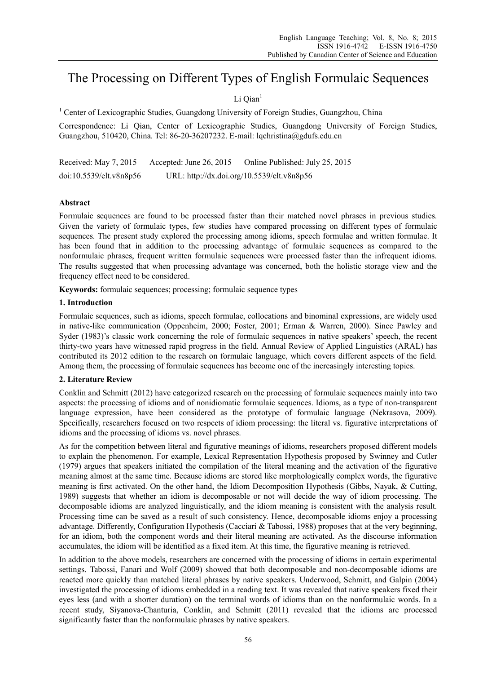# The Processing on Different Types of English Formulaic Sequences

## Li  $Oian<sup>1</sup>$

<sup>1</sup> Center of Lexicographic Studies, Guangdong University of Foreign Studies, Guangzhou, China

Correspondence: Li Qian, Center of Lexicographic Studies, Guangdong University of Foreign Studies, Guangzhou, 510420, China. Tel: 86-20-36207232. E-mail: lqchristina@gdufs.edu.cn

Received: May 7, 2015 Accepted: June 26, 2015 Online Published: July 25, 2015 doi:10.5539/elt.v8n8p56 URL: http://dx.doi.org/10.5539/elt.v8n8p56

### **Abstract**

Formulaic sequences are found to be processed faster than their matched novel phrases in previous studies. Given the variety of formulaic types, few studies have compared processing on different types of formulaic sequences. The present study explored the processing among idioms, speech formulae and written formulae. It has been found that in addition to the processing advantage of formulaic sequences as compared to the nonformulaic phrases, frequent written formulaic sequences were processed faster than the infrequent idioms. The results suggested that when processing advantage was concerned, both the holistic storage view and the frequency effect need to be considered.

**Keywords:** formulaic sequences; processing; formulaic sequence types

### **1. Introduction**

Formulaic sequences, such as idioms, speech formulae, collocations and binominal expressions, are widely used in native-like communication (Oppenheim, 2000; Foster, 2001; Erman & Warren, 2000). Since Pawley and Syder (1983)'s classic work concerning the role of formulaic sequences in native speakers' speech, the recent thirty-two years have witnessed rapid progress in the field. Annual Review of Applied Linguistics (ARAL) has contributed its 2012 edition to the research on formulaic language, which covers different aspects of the field. Among them, the processing of formulaic sequences has become one of the increasingly interesting topics.

#### **2. Literature Review**

Conklin and Schmitt (2012) have categorized research on the processing of formulaic sequences mainly into two aspects: the processing of idioms and of nonidiomatic formulaic sequences. Idioms, as a type of non-transparent language expression, have been considered as the prototype of formulaic language (Nekrasova, 2009). Specifically, researchers focused on two respects of idiom processing: the literal vs. figurative interpretations of idioms and the processing of idioms vs. novel phrases.

As for the competition between literal and figurative meanings of idioms, researchers proposed different models to explain the phenomenon. For example, Lexical Representation Hypothesis proposed by Swinney and Cutler (1979) argues that speakers initiated the compilation of the literal meaning and the activation of the figurative meaning almost at the same time. Because idioms are stored like morphologically complex words, the figurative meaning is first activated. On the other hand, the Idiom Decomposition Hypothesis (Gibbs, Nayak, & Cutting, 1989) suggests that whether an idiom is decomposable or not will decide the way of idiom processing. The decomposable idioms are analyzed linguistically, and the idiom meaning is consistent with the analysis result. Processing time can be saved as a result of such consistency. Hence, decomposable idioms enjoy a processing advantage. Differently, Configuration Hypothesis (Cacciari & Tabossi, 1988) proposes that at the very beginning, for an idiom, both the component words and their literal meaning are activated. As the discourse information accumulates, the idiom will be identified as a fixed item. At this time, the figurative meaning is retrieved.

In addition to the above models, researchers are concerned with the processing of idioms in certain experimental settings. Tabossi, Fanari and Wolf (2009) showed that both decomposable and non-decomposable idioms are reacted more quickly than matched literal phrases by native speakers. Underwood, Schmitt, and Galpin (2004) investigated the processing of idioms embedded in a reading text. It was revealed that native speakers fixed their eyes less (and with a shorter duration) on the terminal words of idioms than on the nonformulaic words. In a recent study, Siyanova-Chanturia, Conklin, and Schmitt (2011) revealed that the idioms are processed significantly faster than the nonformulaic phrases by native speakers.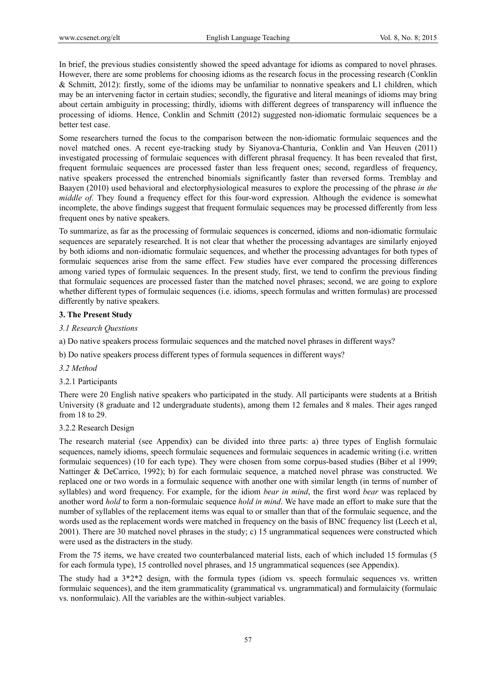In brief, the previous studies consistently showed the speed advantage for idioms as compared to novel phrases. However, there are some problems for choosing idioms as the research focus in the processing research (Conklin & Schmitt, 2012): firstly, some of the idioms may be unfamiliar to nonnative speakers and L1 children, which may be an intervening factor in certain studies; secondly, the figurative and literal meanings of idioms may bring about certain ambiguity in processing; thirdly, idioms with different degrees of transparency will influence the processing of idioms. Hence, Conklin and Schmitt (2012) suggested non-idiomatic formulaic sequences be a better test case.

Some researchers turned the focus to the comparison between the non-idiomatic formulaic sequences and the novel matched ones. A recent eye-tracking study by Siyanova-Chanturia, Conklin and Van Heuven (2011) investigated processing of formulaic sequences with different phrasal frequency. It has been revealed that first, frequent formulaic sequences are processed faster than less frequent ones; second, regardless of frequency, native speakers processed the entrenched binomials significantly faster than reversed forms. Tremblay and Baayen (2010) used behavioral and electorphysiological measures to explore the processing of the phrase *in the middle of*. They found a frequency effect for this four-word expression. Although the evidence is somewhat incomplete, the above findings suggest that frequent formulaic sequences may be processed differently from less frequent ones by native speakers.

To summarize, as far as the processing of formulaic sequences is concerned, idioms and non-idiomatic formulaic sequences are separately researched. It is not clear that whether the processing advantages are similarly enjoyed by both idioms and non-idiomatic formulaic sequences, and whether the processing advantages for both types of formulaic sequences arise from the same effect. Few studies have ever compared the processing differences among varied types of formulaic sequences. In the present study, first, we tend to confirm the previous finding that formulaic sequences are processed faster than the matched novel phrases; second, we are going to explore whether different types of formulaic sequences (i.e. idioms, speech formulas and written formulas) are processed differently by native speakers.

#### **3. The Present Study**

- *3.1 Research Questions*
- a) Do native speakers process formulaic sequences and the matched novel phrases in different ways?

b) Do native speakers process different types of formula sequences in different ways?

#### *3.2 Method*

#### 3.2.1 Participants

There were 20 English native speakers who participated in the study. All participants were students at a British University (8 graduate and 12 undergraduate students), among them 12 females and 8 males. Their ages ranged from 18 to 29.

#### 3.2.2 Research Design

The research material (see Appendix) can be divided into three parts: a) three types of English formulaic sequences, namely idioms, speech formulaic sequences and formulaic sequences in academic writing (i.e. written formulaic sequences) (10 for each type). They were chosen from some corpus-based studies (Biber et al 1999; Nattinger & DeCarrico, 1992); b) for each formulaic sequence, a matched novel phrase was constructed. We replaced one or two words in a formulaic sequence with another one with similar length (in terms of number of syllables) and word frequency. For example, for the idiom *bear in mind*, the first word *bear* was replaced by another word *hold* to form a non-formulaic sequence *hold in mind*. We have made an effort to make sure that the number of syllables of the replacement items was equal to or smaller than that of the formulaic sequence, and the words used as the replacement words were matched in frequency on the basis of BNC frequency list (Leech et al, 2001). There are 30 matched novel phrases in the study; c) 15 ungrammatical sequences were constructed which were used as the distracters in the study.

From the 75 items, we have created two counterbalanced material lists, each of which included 15 formulas (5 for each formula type), 15 controlled novel phrases, and 15 ungrammatical sequences (see Appendix).

The study had a  $3*2*2$  design, with the formula types (idiom vs. speech formulaic sequences vs. written formulaic sequences), and the item grammaticality (grammatical vs. ungrammatical) and formulaicity (formulaic vs. nonformulaic). All the variables are the within-subject variables.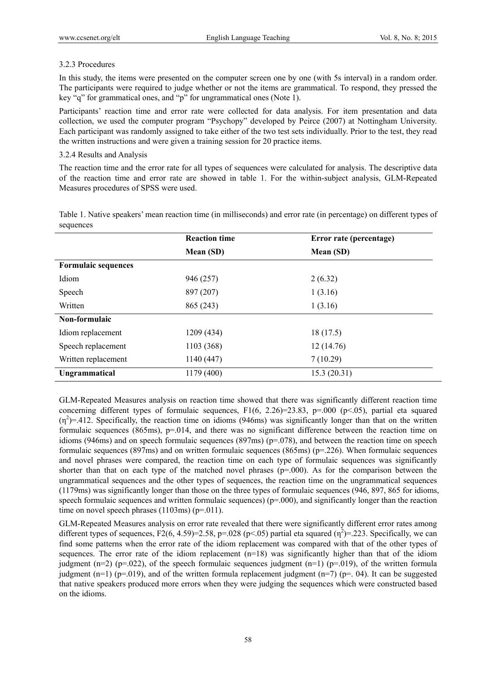#### 3.2.3 Procedures

In this study, the items were presented on the computer screen one by one (with 5s interval) in a random order. The participants were required to judge whether or not the items are grammatical. To respond, they pressed the key "q" for grammatical ones, and "p" for ungrammatical ones (Note 1).

Participants' reaction time and error rate were collected for data analysis. For item presentation and data collection, we used the computer program "Psychopy" developed by Peirce (2007) at Nottingham University. Each participant was randomly assigned to take either of the two test sets individually. Prior to the test, they read the written instructions and were given a training session for 20 practice items.

#### 3.2.4 Results and Analysis

The reaction time and the error rate for all types of sequences were calculated for analysis. The descriptive data of the reaction time and error rate are showed in table 1. For the within-subject analysis, GLM-Repeated Measures procedures of SPSS were used.

|                            | <b>Reaction time</b> | Error rate (percentage) |  |  |
|----------------------------|----------------------|-------------------------|--|--|
|                            | Mean (SD)            | Mean (SD)               |  |  |
| <b>Formulaic sequences</b> |                      |                         |  |  |
| Idiom                      | 946 (257)            | 2(6.32)                 |  |  |
| Speech                     | 897 (207)            | 1(3.16)                 |  |  |
| Written                    | 865 (243)            | 1(3.16)                 |  |  |
| Non-formulaic              |                      |                         |  |  |
| Idiom replacement          | 1209 (434)           | 18(17.5)                |  |  |
| Speech replacement         | 1103 (368)           | 12(14.76)               |  |  |
| Written replacement        | 1140 (447)           | 7(10.29)                |  |  |
| Ungrammatical              | 1179 (400)           | 15.3(20.31)             |  |  |

Table 1. Native speakers' mean reaction time (in milliseconds) and error rate (in percentage) on different types of sequences

GLM-Repeated Measures analysis on reaction time showed that there was significantly different reaction time concerning different types of formulaic sequences,  $F1(6, 2.26)=23.83$ ,  $p=.000$  ( $p<.05$ ), partial eta squared  $(\eta^2)$ =.412. Specifically, the reaction time on idioms (946ms) was significantly longer than that on the written formulaic sequences (865ms), p=.014, and there was no significant difference between the reaction time on idioms (946ms) and on speech formulaic sequences (897ms) ( $p=0.078$ ), and between the reaction time on speech formulaic sequences (897ms) and on written formulaic sequences (865ms) (p=.226). When formulaic sequences and novel phrases were compared, the reaction time on each type of formulaic sequences was significantly shorter than that on each type of the matched novel phrases  $(p=0.00)$ . As for the comparison between the ungrammatical sequences and the other types of sequences, the reaction time on the ungrammatical sequences (1179ms) was significantly longer than those on the three types of formulaic sequences (946, 897, 865 for idioms, speech formulaic sequences and written formulaic sequences) ( $p=000$ ), and significantly longer than the reaction time on novel speech phrases  $(1103 \text{ms})$  (p=.011).

GLM-Repeated Measures analysis on error rate revealed that there were significantly different error rates among different types of sequences,  $F2(6, 4.59)=2.58$ ,  $p=.028$  ( $p<.05$ ) partial eta squared ( $\eta^2$ )=.223. Specifically, we can find some patterns when the error rate of the idiom replacement was compared with that of the other types of sequences. The error rate of the idiom replacement (n=18) was significantly higher than that of the idiom judgment (n=2) (p=.022), of the speech formulaic sequences judgment (n=1) (p=.019), of the written formula judgment (n=1) ( $p=019$ ), and of the written formula replacement judgment (n=7) ( $p=0.04$ ). It can be suggested that native speakers produced more errors when they were judging the sequences which were constructed based on the idioms.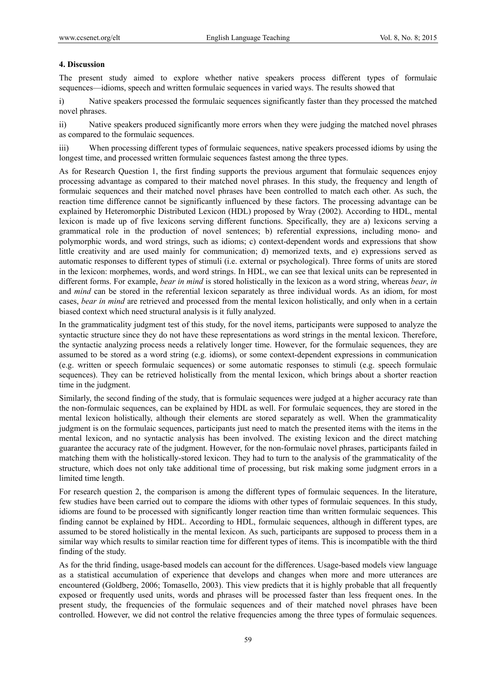#### **4. Discussion**

The present study aimed to explore whether native speakers process different types of formulaic sequences—idioms, speech and written formulaic sequences in varied ways. The results showed that

i) Native speakers processed the formulaic sequences significantly faster than they processed the matched novel phrases.

ii) Native speakers produced significantly more errors when they were judging the matched novel phrases as compared to the formulaic sequences.

iii) When processing different types of formulaic sequences, native speakers processed idioms by using the longest time, and processed written formulaic sequences fastest among the three types.

As for Research Question 1, the first finding supports the previous argument that formulaic sequences enjoy processing advantage as compared to their matched novel phrases. In this study, the frequency and length of formulaic sequences and their matched novel phrases have been controlled to match each other. As such, the reaction time difference cannot be significantly influenced by these factors. The processing advantage can be explained by Heteromorphic Distributed Lexicon (HDL) proposed by Wray (2002). According to HDL, mental lexicon is made up of five lexicons serving different functions. Specifically, they are a) lexicons serving a grammatical role in the production of novel sentences; b) referential expressions, including mono- and polymorphic words, and word strings, such as idioms; c) context-dependent words and expressions that show little creativity and are used mainly for communication; d) memorized texts, and e) expressions served as automatic responses to different types of stimuli (i.e. external or psychological). Three forms of units are stored in the lexicon: morphemes, words, and word strings. In HDL, we can see that lexical units can be represented in different forms. For example, *bear in mind* is stored holistically in the lexicon as a word string, whereas *bear*, *in* and *mind* can be stored in the referential lexicon separately as three individual words. As an idiom, for most cases, *bear in mind* are retrieved and processed from the mental lexicon holistically, and only when in a certain biased context which need structural analysis is it fully analyzed.

In the grammaticality judgment test of this study, for the novel items, participants were supposed to analyze the syntactic structure since they do not have these representations as word strings in the mental lexicon. Therefore, the syntactic analyzing process needs a relatively longer time. However, for the formulaic sequences, they are assumed to be stored as a word string (e.g. idioms), or some context-dependent expressions in communication (e.g. written or speech formulaic sequences) or some automatic responses to stimuli (e.g. speech formulaic sequences). They can be retrieved holistically from the mental lexicon, which brings about a shorter reaction time in the judgment.

Similarly, the second finding of the study, that is formulaic sequences were judged at a higher accuracy rate than the non-formulaic sequences, can be explained by HDL as well. For formulaic sequences, they are stored in the mental lexicon holistically, although their elements are stored separately as well. When the grammaticality judgment is on the formulaic sequences, participants just need to match the presented items with the items in the mental lexicon, and no syntactic analysis has been involved. The existing lexicon and the direct matching guarantee the accuracy rate of the judgment. However, for the non-formulaic novel phrases, participants failed in matching them with the holistically-stored lexicon. They had to turn to the analysis of the grammaticality of the structure, which does not only take additional time of processing, but risk making some judgment errors in a limited time length.

For research question 2, the comparison is among the different types of formulaic sequences. In the literature, few studies have been carried out to compare the idioms with other types of formulaic sequences. In this study, idioms are found to be processed with significantly longer reaction time than written formulaic sequences. This finding cannot be explained by HDL. According to HDL, formulaic sequences, although in different types, are assumed to be stored holistically in the mental lexicon. As such, participants are supposed to process them in a similar way which results to similar reaction time for different types of items. This is incompatible with the third finding of the study.

As for the thrid finding, usage-based models can account for the differences. Usage-based models view language as a statistical accumulation of experience that develops and changes when more and more utterances are encountered (Goldberg, 2006; Tomasello, 2003). This view predicts that it is highly probable that all frequently exposed or frequently used units, words and phrases will be processed faster than less frequent ones. In the present study, the frequencies of the formulaic sequences and of their matched novel phrases have been controlled. However, we did not control the relative frequencies among the three types of formulaic sequences.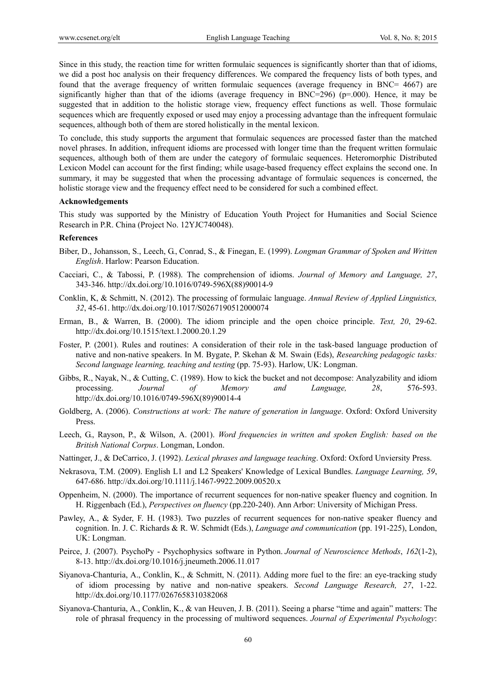Since in this study, the reaction time for written formulaic sequences is significantly shorter than that of idioms, we did a post hoc analysis on their frequency differences. We compared the frequency lists of both types, and found that the average frequency of written formulaic sequences (average frequency in BNC= 4667) are significantly higher than that of the idioms (average frequency in  $BNC=296$ ) ( $p=.000$ ). Hence, it may be suggested that in addition to the holistic storage view, frequency effect functions as well. Those formulaic sequences which are frequently exposed or used may enjoy a processing advantage than the infrequent formulaic sequences, although both of them are stored holistically in the mental lexicon.

To conclude, this study supports the argument that formulaic sequences are processed faster than the matched novel phrases. In addition, infrequent idioms are processed with longer time than the frequent written formulaic sequences, although both of them are under the category of formulaic sequences. Heteromorphic Distributed Lexicon Model can account for the first finding; while usage-based frequency effect explains the second one. In summary, it may be suggested that when the processing advantage of formulaic sequences is concerned, the holistic storage view and the frequency effect need to be considered for such a combined effect.

#### **Acknowledgements**

This study was supported by the Ministry of Education Youth Project for Humanities and Social Science Research in P.R. China (Project No. 12YJC740048).

#### **References**

- Biber, D., Johansson, S., Leech, G., Conrad, S., & Finegan, E. (1999). *Longman Grammar of Spoken and Written English*. Harlow: Pearson Education.
- Cacciari, C., & Tabossi, P. (1988). The comprehension of idioms. *Journal of Memory and Language, 27*, 343-346. http://dx.doi.org/10.1016/0749-596X(88)90014-9
- Conklin, K, & Schmitt, N. (2012). The processing of formulaic language. *Annual Review of Applied Linguistics, 32*, 45-61. http://dx.doi.org/10.1017/S0267190512000074
- Erman, B., & Warren, B. (2000). The idiom principle and the open choice principle. *Text, 20*, 29-62. http://dx.doi.org/10.1515/text.1.2000.20.1.29
- Foster, P. (2001). Rules and routines: A consideration of their role in the task-based language production of native and non-native speakers. In M. Bygate, P. Skehan & M. Swain (Eds), *Researching pedagogic tasks: Second language learning, teaching and testing* (pp. 75-93). Harlow, UK: Longman.
- Gibbs, R., Nayak, N., & Cutting, C. (1989). How to kick the bucket and not decompose: Analyzability and idiom processing. *Journal of Memory and Language, 28*, 576-593. http://dx.doi.org/10.1016/0749-596X(89)90014-4
- Goldberg, A. (2006). *Constructions at work: The nature of generation in language*. Oxford: Oxford University Press.
- Leech, G., Rayson, P., & Wilson, A. (2001). *Word frequencies in written and spoken English: based on the British National Corpus*. Longman, London.
- Nattinger, J., & DeCarrico, J. (1992). *Lexical phrases and language teaching*. Oxford: Oxford Unviersity Press.
- Nekrasova, T.M. (2009). English L1 and L2 Speakers' Knowledge of Lexical Bundles. *Language Learning, 59*, 647-686. http://dx.doi.org/10.1111/j.1467-9922.2009.00520.x
- Oppenheim, N. (2000). The importance of recurrent sequences for non-native speaker fluency and cognition. In H. Riggenbach (Ed.), *Perspectives on fluency* (pp.220-240). Ann Arbor: University of Michigan Press.
- Pawley, A., & Syder, F. H. (1983). Two puzzles of recurrent sequences for non-native speaker fluency and cognition. In. J. C. Richards & R. W. Schmidt (Eds.), *Language and communication* (pp. 191-225), London, UK: Longman.
- Peirce, J. (2007). PsychoPy Psychophysics software in Python. *Journal of Neuroscience Methods*, *162*(1-2), 8-13. http://dx.doi.org/10.1016/j.jneumeth.2006.11.017
- Siyanova-Chanturia, A., Conklin, K., & Schmitt, N. (2011). Adding more fuel to the fire: an eye-tracking study of idiom processing by native and non-native speakers. *Second Language Research, 27*, 1-22. http://dx.doi.org/10.1177/0267658310382068
- Siyanova-Chanturia, A., Conklin, K., & van Heuven, J. B. (2011). Seeing a pharse "time and again" matters: The role of phrasal frequency in the processing of multiword sequences. *Journal of Experimental Psychology*: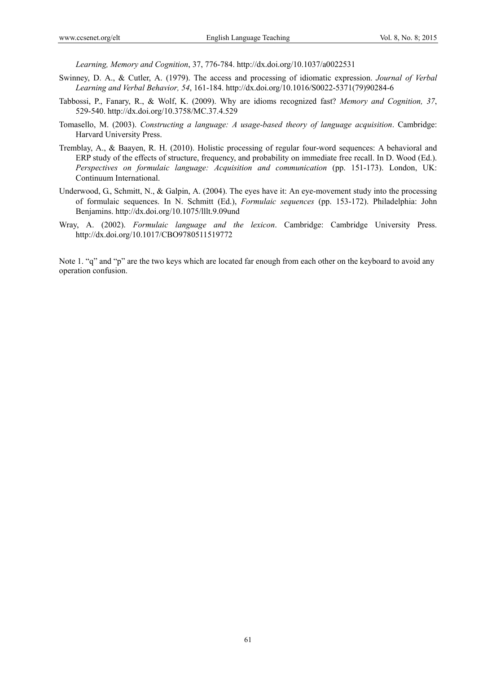*Learning, Memory and Cognition*, 37, 776-784. http://dx.doi.org/10.1037/a0022531

- Swinney, D. A., & Cutler, A. (1979). The access and processing of idiomatic expression. *Journal of Verbal Learning and Verbal Behavior, 54*, 161-184. http://dx.doi.org/10.1016/S0022-5371(79)90284-6
- Tabbossi, P., Fanary, R., & Wolf, K. (2009). Why are idioms recognized fast? *Memory and Cognition, 37*, 529-540. http://dx.doi.org/10.3758/MC.37.4.529
- Tomasello, M. (2003). *Constructing a language: A usage-based theory of language acquisition*. Cambridge: Harvard University Press.
- Tremblay, A., & Baayen, R. H. (2010). Holistic processing of regular four-word sequences: A behavioral and ERP study of the effects of structure, frequency, and probability on immediate free recall. In D. Wood (Ed.). *Perspectives on formulaic language: Acquisition and communication* (pp. 151-173). London, UK: Continuum International.
- Underwood, G., Schmitt, N., & Galpin, A. (2004). The eyes have it: An eye-movement study into the processing of formulaic sequences. In N. Schmitt (Ed.), *Formulaic sequences* (pp. 153-172). Philadelphia: John Benjamins. http://dx.doi.org/10.1075/lllt.9.09und
- Wray, A. (2002). *Formulaic language and the lexicon*. Cambridge: Cambridge University Press. http://dx.doi.org/10.1017/CBO9780511519772

Note 1. "q" and "p" are the two keys which are located far enough from each other on the keyboard to avoid any operation confusion.